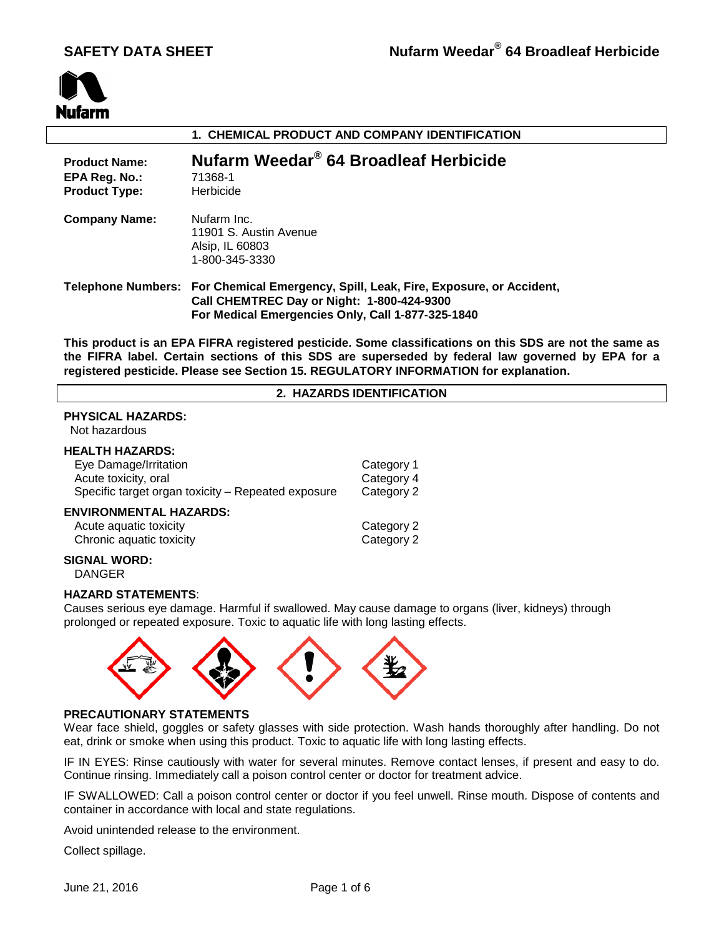

| 1. CHEMICAL PRODUCT AND COMPANY IDENTIFICATION                |                                                                                                                                                                                         |  |
|---------------------------------------------------------------|-----------------------------------------------------------------------------------------------------------------------------------------------------------------------------------------|--|
| <b>Product Name:</b><br>EPA Reg. No.:<br><b>Product Type:</b> | Nufarm Weedar <sup>®</sup> 64 Broadleaf Herbicide<br>71368-1<br>Herbicide                                                                                                               |  |
| <b>Company Name:</b>                                          | Nufarm Inc.<br>11901 S. Austin Avenue<br>Alsip, IL 60803<br>1-800-345-3330                                                                                                              |  |
|                                                               | Telephone Numbers: For Chemical Emergency, Spill, Leak, Fire, Exposure, or Accident,<br>Call CHEMTREC Day or Night: 1-800-424-9300<br>For Medical Emergencies Only, Call 1-877-325-1840 |  |

**This product is an EPA FIFRA registered pesticide. Some classifications on this SDS are not the same as the FIFRA label. Certain sections of this SDS are superseded by federal law governed by EPA for a registered pesticide. Please see Section 15. REGULATORY INFORMATION for explanation.**

## **2. HAZARDS IDENTIFICATION**

## **PHYSICAL HAZARDS:**

Not hazardous

## **HEALTH HAZARDS:**

| Eye Damage/Irritation                                                               | Category 1               |
|-------------------------------------------------------------------------------------|--------------------------|
| Acute toxicity, oral                                                                | Category 4               |
| Specific target organ toxicity - Repeated exposure                                  | Category 2               |
| <b>ENVIRONMENTAL HAZARDS:</b><br>Acute aquatic toxicity<br>Chronic aquatic toxicity | Category 2<br>Category 2 |

#### **SIGNAL WORD:** DANGER

#### **HAZARD STATEMENTS**:

Causes serious eye damage. Harmful if swallowed. May cause damage to organs (liver, kidneys) through prolonged or repeated exposure. Toxic to aquatic life with long lasting effects.



#### **PRECAUTIONARY STATEMENTS**

Wear face shield, goggles or safety glasses with side protection. Wash hands thoroughly after handling. Do not eat, drink or smoke when using this product. Toxic to aquatic life with long lasting effects.

IF IN EYES: Rinse cautiously with water for several minutes. Remove contact lenses, if present and easy to do. Continue rinsing. Immediately call a poison control center or doctor for treatment advice.

IF SWALLOWED: Call a poison control center or doctor if you feel unwell. Rinse mouth. Dispose of contents and container in accordance with local and state regulations.

Avoid unintended release to the environment.

Collect spillage.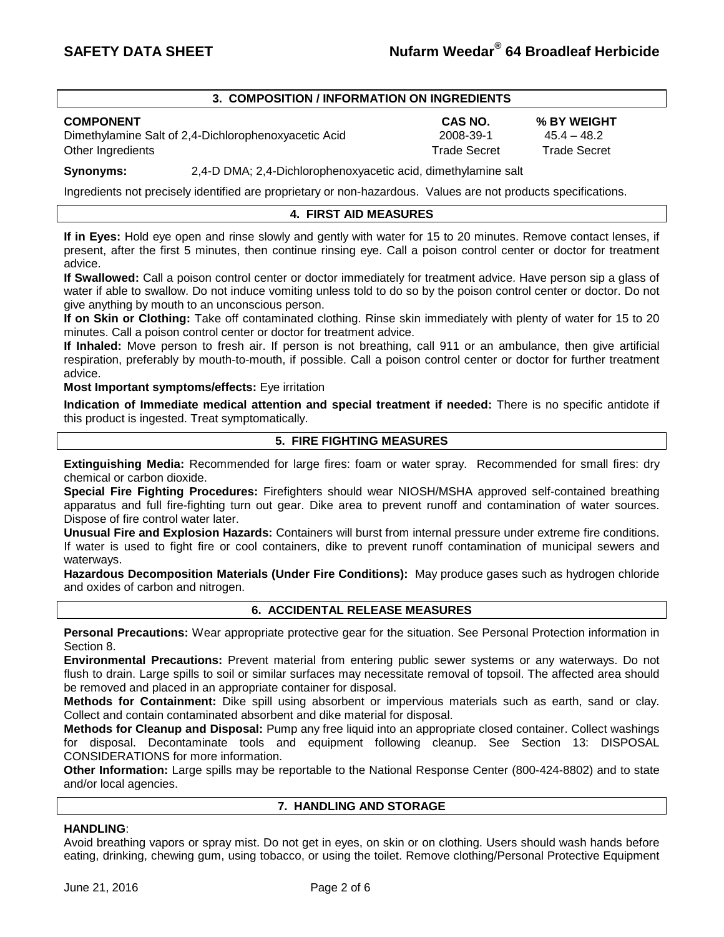## **3. COMPOSITION / INFORMATION ON INGREDIENTS**

**COMPONENT CAS NO. % BY WEIGHT** Dimethylamine Salt of 2,4-Dichlorophenoxyacetic Acid Other Ingredients Trade Secret Trade Secret

**Synonyms:** 2,4-D DMA; 2,4-Dichlorophenoxyacetic acid, dimethylamine salt

Ingredients not precisely identified are proprietary or non-hazardous. Values are not products specifications.

## **4. FIRST AID MEASURES**

**If in Eyes:** Hold eye open and rinse slowly and gently with water for 15 to 20 minutes. Remove contact lenses, if present, after the first 5 minutes, then continue rinsing eye. Call a poison control center or doctor for treatment advice.

**If Swallowed:** Call a poison control center or doctor immediately for treatment advice. Have person sip a glass of water if able to swallow. Do not induce vomiting unless told to do so by the poison control center or doctor. Do not give anything by mouth to an unconscious person.

**If on Skin or Clothing:** Take off contaminated clothing. Rinse skin immediately with plenty of water for 15 to 20 minutes. Call a poison control center or doctor for treatment advice.

**If Inhaled:** Move person to fresh air. If person is not breathing, call 911 or an ambulance, then give artificial respiration, preferably by mouth-to-mouth, if possible. Call a poison control center or doctor for further treatment advice.

**Most Important symptoms/effects:** Eye irritation

**Indication of Immediate medical attention and special treatment if needed:** There is no specific antidote if this product is ingested. Treat symptomatically.

## **5. FIRE FIGHTING MEASURES**

**Extinguishing Media:** Recommended for large fires: foam or water spray. Recommended for small fires: dry chemical or carbon dioxide.

**Special Fire Fighting Procedures:** Firefighters should wear NIOSH/MSHA approved self-contained breathing apparatus and full fire-fighting turn out gear. Dike area to prevent runoff and contamination of water sources. Dispose of fire control water later.

**Unusual Fire and Explosion Hazards:** Containers will burst from internal pressure under extreme fire conditions. If water is used to fight fire or cool containers, dike to prevent runoff contamination of municipal sewers and waterways.

**Hazardous Decomposition Materials (Under Fire Conditions):** May produce gases such as hydrogen chloride and oxides of carbon and nitrogen.

## **6. ACCIDENTAL RELEASE MEASURES**

**Personal Precautions:** Wear appropriate protective gear for the situation. See Personal Protection information in Section 8.

**Environmental Precautions:** Prevent material from entering public sewer systems or any waterways. Do not flush to drain. Large spills to soil or similar surfaces may necessitate removal of topsoil. The affected area should be removed and placed in an appropriate container for disposal.

**Methods for Containment:** Dike spill using absorbent or impervious materials such as earth, sand or clay. Collect and contain contaminated absorbent and dike material for disposal.

**Methods for Cleanup and Disposal:** Pump any free liquid into an appropriate closed container. Collect washings for disposal. Decontaminate tools and equipment following cleanup. See Section 13: DISPOSAL CONSIDERATIONS for more information.

**Other Information:** Large spills may be reportable to the National Response Center (800-424-8802) and to state and/or local agencies.

## **7. HANDLING AND STORAGE**

## **HANDLING**:

Avoid breathing vapors or spray mist. Do not get in eyes, on skin or on clothing. Users should wash hands before eating, drinking, chewing gum, using tobacco, or using the toilet. Remove clothing/Personal Protective Equipment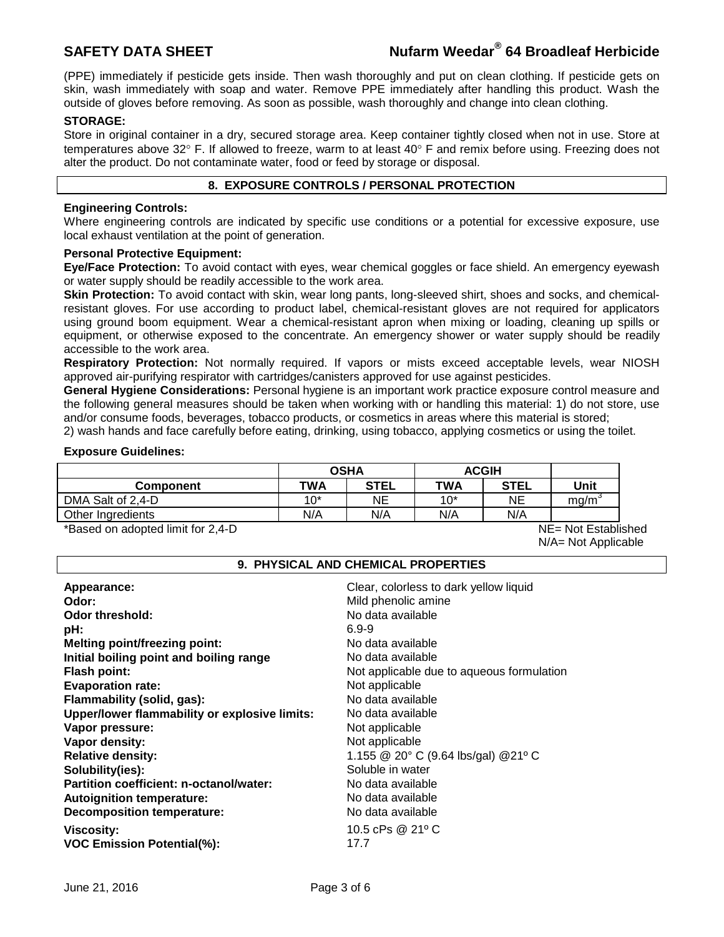# **SAFETY DATA SHEET Nufarm Weedar® 64 Broadleaf Herbicide**

(PPE) immediately if pesticide gets inside. Then wash thoroughly and put on clean clothing. If pesticide gets on skin, wash immediately with soap and water. Remove PPE immediately after handling this product. Wash the outside of gloves before removing. As soon as possible, wash thoroughly and change into clean clothing.

## **STORAGE:**

Store in original container in a dry, secured storage area. Keep container tightly closed when not in use. Store at temperatures above 32° F. If allowed to freeze, warm to at least 40° F and remix before using. Freezing does not alter the product. Do not contaminate water, food or feed by storage or disposal.

## **8. EXPOSURE CONTROLS / PERSONAL PROTECTION**

## **Engineering Controls:**

Where engineering controls are indicated by specific use conditions or a potential for excessive exposure, use local exhaust ventilation at the point of generation.

## **Personal Protective Equipment:**

**Eye/Face Protection:** To avoid contact with eyes, wear chemical goggles or face shield. An emergency eyewash or water supply should be readily accessible to the work area.

**Skin Protection:** To avoid contact with skin, wear long pants, long-sleeved shirt, shoes and socks, and chemicalresistant gloves. For use according to product label, chemical-resistant gloves are not required for applicators using ground boom equipment. Wear a chemical-resistant apron when mixing or loading, cleaning up spills or equipment, or otherwise exposed to the concentrate. An emergency shower or water supply should be readily accessible to the work area.

**Respiratory Protection:** Not normally required. If vapors or mists exceed acceptable levels, wear NIOSH approved air-purifying respirator with cartridges/canisters approved for use against pesticides.

**General Hygiene Considerations:** Personal hygiene is an important work practice exposure control measure and the following general measures should be taken when working with or handling this material: 1) do not store, use and/or consume foods, beverages, tobacco products, or cosmetics in areas where this material is stored;

2) wash hands and face carefully before eating, drinking, using tobacco, applying cosmetics or using the toilet.

## **Exposure Guidelines:**

|                   | <b>OSHA</b> |      | <b>ACGIH</b> |             |      |
|-------------------|-------------|------|--------------|-------------|------|
| <b>Component</b>  | TWA         | STEL | <b>TWA</b>   | <b>STEL</b> | Unit |
| DMA Salt of 2,4-D | 1 በ*        | NE   | $10^*$       | ΝE          | ma/m |
| Other Ingredients | N/A         | N/A  | N/A          | N/A         |      |

\*Based on adopted limit for 2,4-D NE= Not Established

N/A= Not Applicable

## **9. PHYSICAL AND CHEMICAL PROPERTIES**

| Appearance:<br>Odor:<br>Odor threshold:<br>pH:<br><b>Melting point/freezing point:</b><br>Initial boiling point and boiling range<br><b>Flash point:</b><br><b>Evaporation rate:</b><br>Flammability (solid, gas):<br>Upper/lower flammability or explosive limits:<br>Vapor pressure:<br>Vapor density:<br><b>Relative density:</b><br>Solubility(ies):<br>Partition coefficient: n-octanol/water:<br><b>Autoignition temperature:</b> | Clear, colorless to dark yellow liquid<br>Mild phenolic amine<br>No data available<br>$6.9 - 9$<br>No data available<br>No data available<br>Not applicable due to aqueous formulation<br>Not applicable<br>No data available<br>No data available<br>Not applicable<br>Not applicable<br>1.155 @ 20° C (9.64 lbs/gal) @ 21° C<br>Soluble in water<br>No data available<br>No data available |
|-----------------------------------------------------------------------------------------------------------------------------------------------------------------------------------------------------------------------------------------------------------------------------------------------------------------------------------------------------------------------------------------------------------------------------------------|----------------------------------------------------------------------------------------------------------------------------------------------------------------------------------------------------------------------------------------------------------------------------------------------------------------------------------------------------------------------------------------------|
| <b>Decomposition temperature:</b>                                                                                                                                                                                                                                                                                                                                                                                                       | No data available                                                                                                                                                                                                                                                                                                                                                                            |
| Viscosity:                                                                                                                                                                                                                                                                                                                                                                                                                              | 10.5 cPs @ 21° C                                                                                                                                                                                                                                                                                                                                                                             |
| <b>VOC Emission Potential(%):</b>                                                                                                                                                                                                                                                                                                                                                                                                       | 17.7                                                                                                                                                                                                                                                                                                                                                                                         |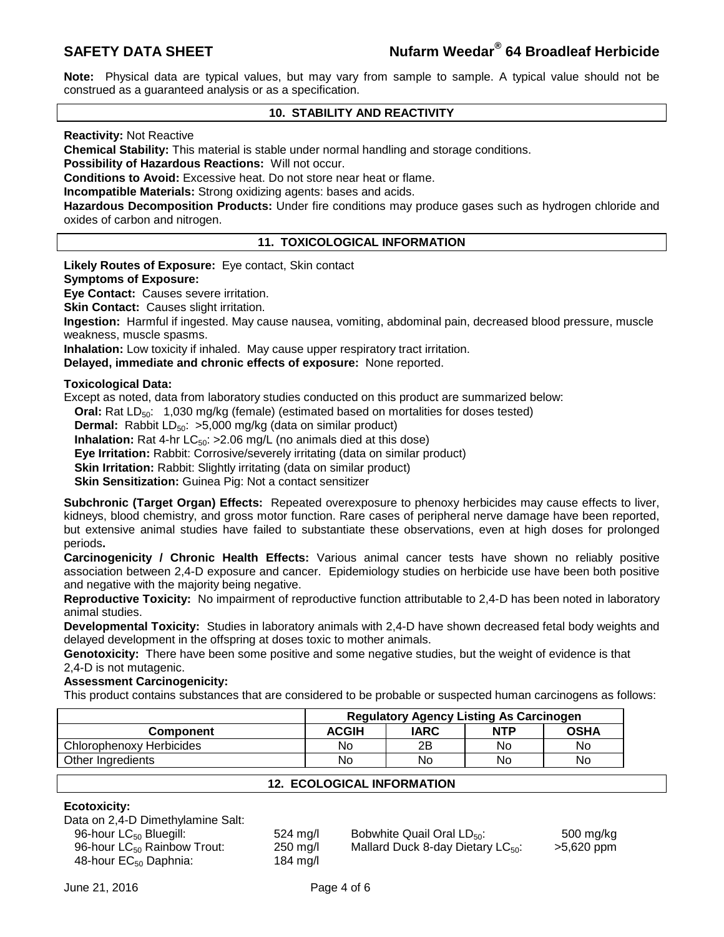**Note:** Physical data are typical values, but may vary from sample to sample. A typical value should not be construed as a guaranteed analysis or as a specification.

## **10. STABILITY AND REACTIVITY**

**Reactivity:** Not Reactive

**Chemical Stability:** This material is stable under normal handling and storage conditions.

**Possibility of Hazardous Reactions:** Will not occur.

**Conditions to Avoid:** Excessive heat. Do not store near heat or flame.

**Incompatible Materials:** Strong oxidizing agents: bases and acids.

**Hazardous Decomposition Products:** Under fire conditions may produce gases such as hydrogen chloride and oxides of carbon and nitrogen.

## **11. TOXICOLOGICAL INFORMATION**

**Likely Routes of Exposure:** Eye contact, Skin contact

## **Symptoms of Exposure:**

**Eye Contact:** Causes severe irritation.

**Skin Contact:** Causes slight irritation.

**Ingestion:** Harmful if ingested. May cause nausea, vomiting, abdominal pain, decreased blood pressure, muscle weakness, muscle spasms.

**Inhalation:** Low toxicity if inhaled. May cause upper respiratory tract irritation.

**Delayed, immediate and chronic effects of exposure:** None reported.

## **Toxicological Data:**

Except as noted, data from laboratory studies conducted on this product are summarized below:

**Oral:** Rat LD<sub>50</sub>: 1,030 mg/kg (female) (estimated based on mortalities for doses tested)

**Dermal:** Rabbit LD<sub>50</sub>: >5,000 mg/kg (data on similar product)

**Inhalation:** Rat 4-hr LC<sub>50</sub>: >2.06 mg/L (no animals died at this dose)

**Eye Irritation:** Rabbit: Corrosive/severely irritating (data on similar product)

**Skin Irritation:** Rabbit: Slightly irritating (data on similar product)

**Skin Sensitization:** Guinea Pig: Not a contact sensitizer

**Subchronic (Target Organ) Effects:** Repeated overexposure to phenoxy herbicides may cause effects to liver, kidneys, blood chemistry, and gross motor function. Rare cases of peripheral nerve damage have been reported, but extensive animal studies have failed to substantiate these observations, even at high doses for prolonged periods**.** 

**Carcinogenicity / Chronic Health Effects:** Various animal cancer tests have shown no reliably positive association between 2,4-D exposure and cancer. Epidemiology studies on herbicide use have been both positive and negative with the majority being negative.

**Reproductive Toxicity:** No impairment of reproductive function attributable to 2,4-D has been noted in laboratory animal studies.

**Developmental Toxicity:** Studies in laboratory animals with 2,4-D have shown decreased fetal body weights and delayed development in the offspring at doses toxic to mother animals.

**Genotoxicity:** There have been some positive and some negative studies, but the weight of evidence is that 2,4-D is not mutagenic.

**Assessment Carcinogenicity:**

This product contains substances that are considered to be probable or suspected human carcinogens as follows:

|                          | <b>Regulatory Agency Listing As Carcinogen</b> |      |            |             |
|--------------------------|------------------------------------------------|------|------------|-------------|
| <b>Component</b>         | <b>ACGIH</b>                                   | IARC | <b>NTP</b> | <b>OSHA</b> |
| Chlorophenoxy Herbicides | No                                             | 2B   | No         | No          |
| Other Ingredients        | No                                             | No   | No         | No          |

## **12. ECOLOGICAL INFORMATION**

## **Ecotoxicity:**

| Data on 2,4-D Dimethylamine Salt:       |
|-----------------------------------------|
| 96-hour LC <sub>50</sub> Bluegill:      |
| 96-hour LC <sub>50</sub> Rainbow Trout: |
| 48-hour EC <sub>50</sub> Daphnia:       |

 $184 \text{ mg/l}$ 

524 mg/l Bobwhite Quail Oral LD<sub>50</sub>: 500 mg/kg<br>250 mg/l Mallard Duck 8-day Dietary LC<sub>50</sub>:  $>$  5,620 ppm Mallard Duck 8-day Dietary LC $_{50}$ :  $>$  5,620 ppm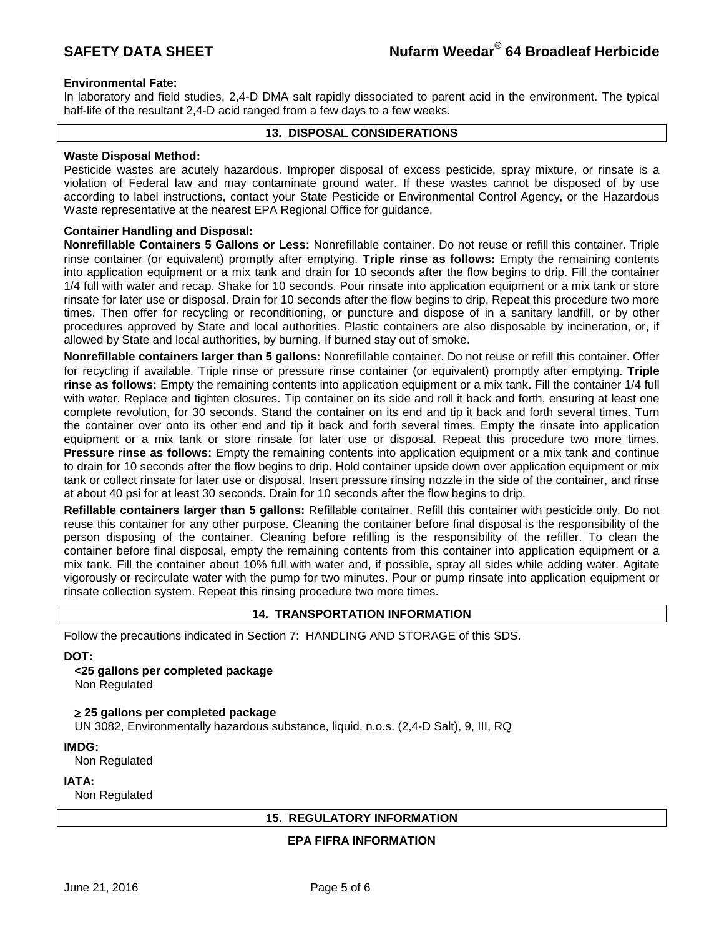## **Environmental Fate:**

In laboratory and field studies, 2,4-D DMA salt rapidly dissociated to parent acid in the environment. The typical half-life of the resultant 2,4-D acid ranged from a few days to a few weeks.

## **13. DISPOSAL CONSIDERATIONS**

## **Waste Disposal Method:**

Pesticide wastes are acutely hazardous. Improper disposal of excess pesticide, spray mixture, or rinsate is a violation of Federal law and may contaminate ground water. If these wastes cannot be disposed of by use according to label instructions, contact your State Pesticide or Environmental Control Agency, or the Hazardous Waste representative at the nearest EPA Regional Office for guidance.

## **Container Handling and Disposal:**

**Nonrefillable Containers 5 Gallons or Less:** Nonrefillable container. Do not reuse or refill this container. Triple rinse container (or equivalent) promptly after emptying. **Triple rinse as follows:** Empty the remaining contents into application equipment or a mix tank and drain for 10 seconds after the flow begins to drip. Fill the container 1/4 full with water and recap. Shake for 10 seconds. Pour rinsate into application equipment or a mix tank or store rinsate for later use or disposal. Drain for 10 seconds after the flow begins to drip. Repeat this procedure two more times. Then offer for recycling or reconditioning, or puncture and dispose of in a sanitary landfill, or by other procedures approved by State and local authorities. Plastic containers are also disposable by incineration, or, if allowed by State and local authorities, by burning. If burned stay out of smoke.

**Nonrefillable containers larger than 5 gallons:** Nonrefillable container. Do not reuse or refill this container. Offer for recycling if available. Triple rinse or pressure rinse container (or equivalent) promptly after emptying. **Triple rinse as follows:** Empty the remaining contents into application equipment or a mix tank. Fill the container 1/4 full with water. Replace and tighten closures. Tip container on its side and roll it back and forth, ensuring at least one complete revolution, for 30 seconds. Stand the container on its end and tip it back and forth several times. Turn the container over onto its other end and tip it back and forth several times. Empty the rinsate into application equipment or a mix tank or store rinsate for later use or disposal. Repeat this procedure two more times. **Pressure rinse as follows:** Empty the remaining contents into application equipment or a mix tank and continue to drain for 10 seconds after the flow begins to drip. Hold container upside down over application equipment or mix tank or collect rinsate for later use or disposal. Insert pressure rinsing nozzle in the side of the container, and rinse at about 40 psi for at least 30 seconds. Drain for 10 seconds after the flow begins to drip.

**Refillable containers larger than 5 gallons:** Refillable container. Refill this container with pesticide only. Do not reuse this container for any other purpose. Cleaning the container before final disposal is the responsibility of the person disposing of the container. Cleaning before refilling is the responsibility of the refiller. To clean the container before final disposal, empty the remaining contents from this container into application equipment or a mix tank. Fill the container about 10% full with water and, if possible, spray all sides while adding water. Agitate vigorously or recirculate water with the pump for two minutes. Pour or pump rinsate into application equipment or rinsate collection system. Repeat this rinsing procedure two more times.

## **14. TRANSPORTATION INFORMATION**

Follow the precautions indicated in Section 7: HANDLING AND STORAGE of this SDS.

## **DOT:**

**<25 gallons per completed package**

Non Regulated

≥ **25 gallons per completed package**

UN 3082, Environmentally hazardous substance, liquid, n.o.s. (2,4-D Salt), 9, III, RQ

**IMDG:**

Non Regulated

#### **IATA:**

Non Regulated

## **15. REGULATORY INFORMATION**

## **EPA FIFRA INFORMATION**